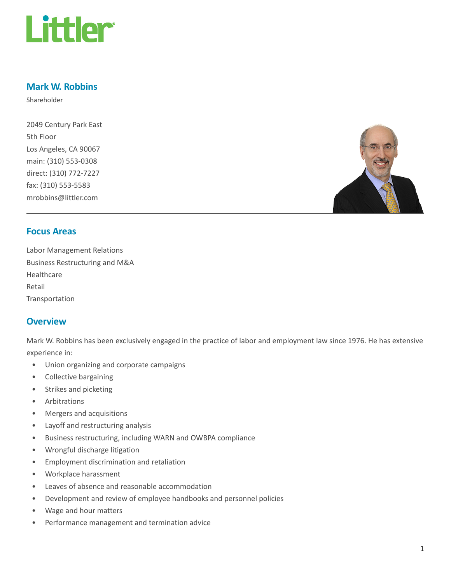

## Mark W. Robbins

Shareholder

2049 Century Park East 5th Floor Los Angeles, CA 90067 main: (310) 553-0308 direct: (310) 772-7227 fax: (310) 553-5583 mrobbins@littler.com



## Focus Areas

Labor Management Relations Business Restructuring and M&A Healthcare Retail Transportation

### **Overview**

Mark W. Robbins has been exclusively engaged in the practice of labor and employment law since 1976. He has extensive experience in:

- Union organizing and corporate campaigns
- Collective bargaining
- Strikes and picketing
- Arbitrations
- Mergers and acquisitions
- Layoff and restructuring analysis
- Business restructuring, including WARN and OWBPA compliance
- Wrongful discharge litigation
- Employment discrimination and retaliation
- Workplace harassment
- Leaves of absence and reasonable accommodation
- Development and review of employee handbooks and personnel policies
- Wage and hour matters
- Performance management and termination advice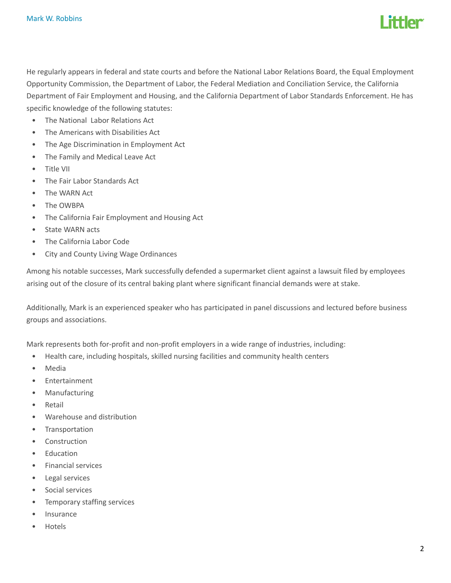

He regularly appears in federal and state courts and before the National Labor Relations Board, the Equal Employment Opportunity Commission, the Department of Labor, the Federal Mediation and Conciliation Service, the California Department of Fair Employment and Housing, and the California Department of Labor Standards Enforcement. He has specific knowledge of the following statutes:

- The National Labor Relations Act
- The Americans with Disabilities Act
- The Age Discrimination in Employment Act
- The Family and Medical Leave Act
- Title VII
- The Fair Labor Standards Act
- The WARN Act
- The OWBPA
- The California Fair Employment and Housing Act
- State WARN acts
- The California Labor Code
- City and County Living Wage Ordinances

Among his notable successes, Mark successfully defended a supermarket client against a lawsuit filed by employees arising out of the closure of its central baking plant where significant financial demands were at stake.

Additionally, Mark is an experienced speaker who has participated in panel discussions and lectured before business groups and associations.

Mark represents both for-profit and non-profit employers in a wide range of industries, including:

- Health care, including hospitals, skilled nursing facilities and community health centers
- Media
- Entertainment
- Manufacturing
- Retail
- Warehouse and distribution
- Transportation
- Construction
- Education
- Financial services
- Legal services
- Social services
- Temporary staffing services
- Insurance
- Hotels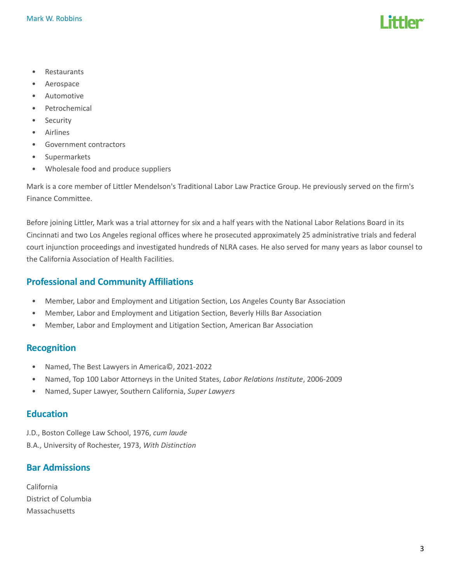- Restaurants
- Aerospace
- Automotive
- Petrochemical
- Security
- Airlines
- Government contractors
- Supermarkets
- Wholesale food and produce suppliers

Mark is a core member of Littler Mendelson's Traditional Labor Law Practice Group. He previously served on the firm's Finance Committee.

Before joining Littler, Mark was a trial attorney for six and a half years with the National Labor Relations Board in its Cincinnati and two Los Angeles regional offices where he prosecuted approximately 25 administrative trials and federal court injunction proceedings and investigated hundreds of NLRA cases. He also served for many years as labor counsel to the California Association of Health Facilities.

# Professional and Community Affiliations

- Member, Labor and Employment and Litigation Section, Los Angeles County Bar Association
- Member, Labor and Employment and Litigation Section, Beverly Hills Bar Association
- Member, Labor and Employment and Litigation Section, American Bar Association

### Recognition

- Named, The Best Lawyers in America©, 2021-2022
- Named, Top 100 Labor Attorneys in the United States, Labor Relations Institute, 2006-2009
- Named, Super Lawyer, Southern California, Super Lawyers

### **Education**

J.D., Boston College Law School, 1976, cum laude B.A., University of Rochester, 1973, With Distinction

## Bar Admissions

California District of Columbia Massachusetts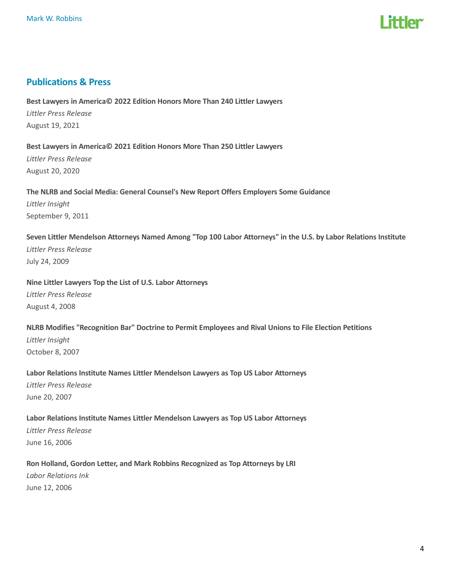

### Publications & Press

Best Lawyers in America© 2022 Edition Honors More Than 240 Littler Lawyers Littler Press Release August 19, 2021

Best Lawyers in America© 2021 Edition Honors More Than 250 Littler Lawyers Littler Press Release August 20, 2020

The NLRB and Social Media: General Counsel's New Report Offers Employers Some Guidance

Littler Insight September 9, 2011

Seven Littler Mendelson Attorneys Named Among "Top 100 Labor Attorneys" in the U.S. by Labor Relations Institute Littler Press Release July 24, 2009

Nine Littler Lawyers Top the List of U.S. Labor Attorneys

Littler Press Release August 4, 2008

NLRB Modifies "Recognition Bar" Doctrine to Permit Employees and Rival Unions to File Election Petitions Littler Insight October 8, 2007

Labor Relations Institute Names Littler Mendelson Lawyers as Top US Labor Attorneys Littler Press Release June 20, 2007

Labor Relations Institute Names Littler Mendelson Lawyers as Top US Labor Attorneys Littler Press Release June 16, 2006

Ron Holland, Gordon Letter, and Mark Robbins Recognized as Top Attorneys by LRI Labor Relations Ink

June 12, 2006